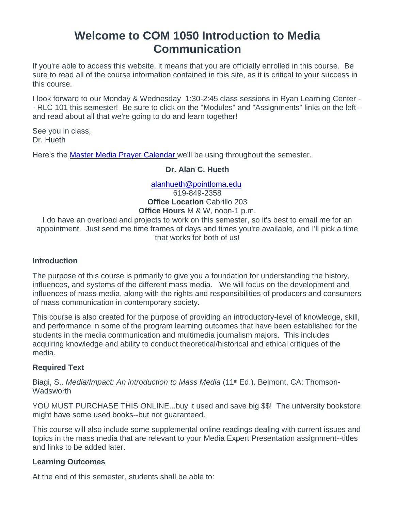# **Welcome to COM 1050 Introduction to Media Communication**

If you're able to access this website, it means that you are officially enrolled in this course. Be sure to read all of the course information contained in this site, as it is critical to your success in this course.

I look forward to our Monday & Wednesday 1:30-2:45 class sessions in Ryan Learning Center - - RLC 101 this semester! Be sure to click on the "Modules" and "Assignments" links on the left- and read about all that we're going to do and learn together!

See you in class, Dr. Hueth

Here's the **[Master Media Prayer Calendar](http://www.mastermediaintl.org/resources/media-leader-prayer-calendar/)** we'll be using throughout the semester.

## **Dr. Alan C. Hueth**

## [alanhueth@pointloma.edu](mailto:alanhueth@pointloma.edu)

619-849-2358 **Office Location** Cabrillo 203 **Office Hours** M & W, noon-1 p.m.

I do have an overload and projects to work on this semester, so it's best to email me for an appointment. Just send me time frames of days and times you're available, and I'll pick a time that works for both of us!

## **Introduction**

The purpose of this course is primarily to give you a foundation for understanding the history, influences, and systems of the different mass media. We will focus on the development and influences of mass media, along with the rights and responsibilities of producers and consumers of mass communication in contemporary society.

This course is also created for the purpose of providing an introductory-level of knowledge, skill, and performance in some of the program learning outcomes that have been established for the students in the media communication and multimedia journalism majors. This includes acquiring knowledge and ability to conduct theoretical/historical and ethical critiques of the media.

# **Required Text**

Biagi, S.. *Media/Impact: An introduction to Mass Media* (11<sup>th</sup> Ed.). Belmont, CA: Thomson-**Wadsworth** 

YOU MUST PURCHASE THIS ONLINE...buy it used and save big \$\$! The university bookstore might have some used books--but not guaranteed.

This course will also include some supplemental online readings dealing with current issues and topics in the mass media that are relevant to your Media Expert Presentation assignment--titles and links to be added later.

## **Learning Outcomes**

At the end of this semester, students shall be able to: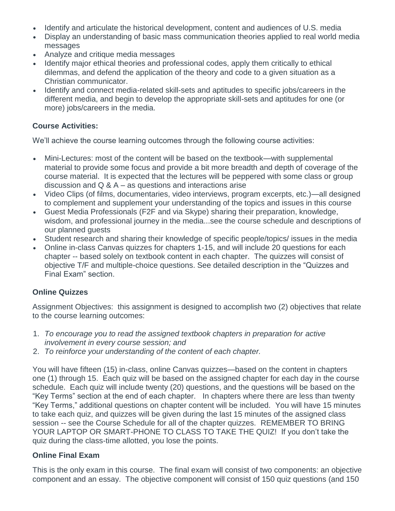- Identify and articulate the historical development, content and audiences of U.S. media
- Display an understanding of basic mass communication theories applied to real world media messages
- Analyze and critique media messages
- Identify major ethical theories and professional codes, apply them critically to ethical dilemmas, and defend the application of the theory and code to a given situation as a Christian communicator.
- Identify and connect media-related skill-sets and aptitudes to specific jobs/careers in the different media, and begin to develop the appropriate skill-sets and aptitudes for one (or more) jobs/careers in the media.

## **Course Activities:**

We'll achieve the course learning outcomes through the following course activities:

- Mini-Lectures: most of the content will be based on the textbook—with supplemental material to provide some focus and provide a bit more breadth and depth of coverage of the course material. It is expected that the lectures will be peppered with some class or group discussion and  $Q & A - as$  questions and interactions arise
- Video Clips (of films, documentaries, video interviews, program excerpts, etc.)—all designed to complement and supplement your understanding of the topics and issues in this course
- Guest Media Professionals (F2F and via Skype) sharing their preparation, knowledge, wisdom, and professional journey in the media...see the course schedule and descriptions of our planned guests
- Student research and sharing their knowledge of specific people/topics/ issues in the media
- Online in-class Canvas quizzes for chapters 1-15, and will include 20 questions for each chapter -- based solely on textbook content in each chapter. The quizzes will consist of objective T/F and multiple-choice questions. See detailed description in the "Quizzes and Final Exam" section.

# **Online Quizzes**

Assignment Objectives: this assignment is designed to accomplish two (2) objectives that relate to the course learning outcomes:

- 1. *To encourage you to read the assigned textbook chapters in preparation for active involvement in every course session; and*
- 2. *To reinforce your understanding of the content of each chapter.*

You will have fifteen (15) in-class, online Canvas quizzes—based on the content in chapters one (1) through 15. Each quiz will be based on the assigned chapter for each day in the course schedule. Each quiz will include twenty (20) questions, and the questions will be based on the "Key Terms" section at the end of each chapter. In chapters where there are less than twenty "Key Terms," additional questions on chapter content will be included. You will have 15 minutes to take each quiz, and quizzes will be given during the last 15 minutes of the assigned class session -- see the Course Schedule for all of the chapter quizzes. REMEMBER TO BRING YOUR LAPTOP OR SMART-PHONE TO CLASS TO TAKE THE QUIZ! If you don't take the quiz during the class-time allotted, you lose the points.

## **Online Final Exam**

This is the only exam in this course. The final exam will consist of two components: an objective component and an essay. The objective component will consist of 150 quiz questions (and 150